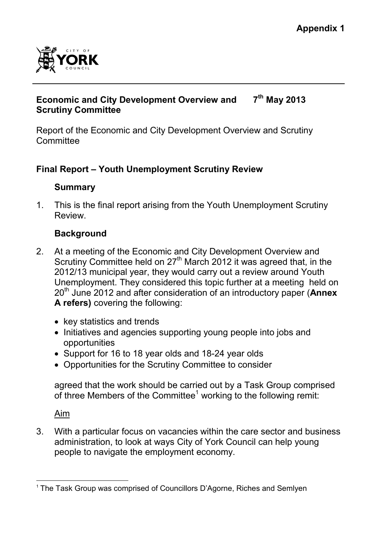

#### **Economic and City Development Overview and Scrutiny Committee 7 th May 2013**

Report of the Economic and City Development Overview and Scrutiny **Committee** 

## **Final Report – Youth Unemployment Scrutiny Review**

## **Summary**

1. This is the final report arising from the Youth Unemployment Scrutiny **Review** 

# **Background**

- 2. At a meeting of the Economic and City Development Overview and Scrutiny Committee held on 27<sup>th</sup> March 2012 it was agreed that, in the 2012/13 municipal year, they would carry out a review around Youth Unemployment. They considered this topic further at a meeting held on 20th June 2012 and after consideration of an introductory paper (**Annex A refers)** covering the following:
	- key statistics and trends
	- Initiatives and agencies supporting young people into jobs and opportunities
	- Support for 16 to 18 year olds and 18-24 year olds
	- Opportunities for the Scrutiny Committee to consider

agreed that the work should be carried out by a Task Group comprised of three Members of the Committee<sup>1</sup> working to the following remit:

Aim

3. With a particular focus on vacancies within the care sector and business administration, to look at ways City of York Council can help young people to navigate the employment economy.

 $\overline{a}$ <sup>1</sup> The Task Group was comprised of Councillors D'Agorne, Riches and Semlyen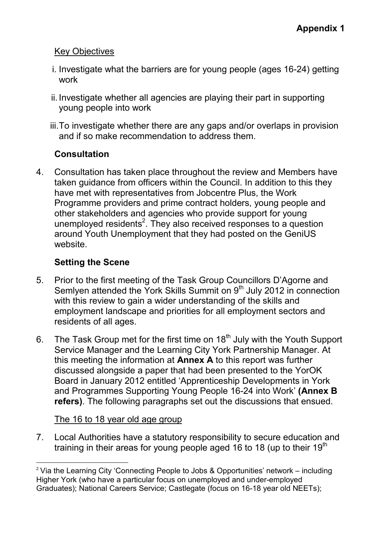## Key Objectives

- i. Investigate what the barriers are for young people (ages 16-24) getting work
- ii. Investigate whether all agencies are playing their part in supporting young people into work
- iii. To investigate whether there are any gaps and/or overlaps in provision and if so make recommendation to address them.

## **Consultation**

4. Consultation has taken place throughout the review and Members have taken guidance from officers within the Council. In addition to this they have met with representatives from Jobcentre Plus, the Work Programme providers and prime contract holders, young people and other stakeholders and agencies who provide support for young unemployed residents<sup>2</sup>. They also received responses to a question around Youth Unemployment that they had posted on the GeniUS website.

## **Setting the Scene**

- 5. Prior to the first meeting of the Task Group Councillors D'Agorne and Semlyen attended the York Skills Summit on 9<sup>th</sup> July 2012 in connection with this review to gain a wider understanding of the skills and employment landscape and priorities for all employment sectors and residents of all ages.
- 6. The Task Group met for the first time on  $18<sup>th</sup>$  July with the Youth Support Service Manager and the Learning City York Partnership Manager. At this meeting the information at **Annex A** to this report was further discussed alongside a paper that had been presented to the YorOK Board in January 2012 entitled 'Apprenticeship Developments in York and Programmes Supporting Young People 16-24 into Work' **(Annex B refers)**. The following paragraphs set out the discussions that ensued.

## The 16 to 18 year old age group

7. Local Authorities have a statutory responsibility to secure education and training in their areas for young people aged 16 to 18 (up to their 19<sup>th</sup>

 $\overline{a}$ <sup>2</sup> Via the Learning City 'Connecting People to Jobs & Opportunities' network – including Higher York (who have a particular focus on unemployed and under-employed Graduates); National Careers Service; Castlegate (focus on 16-18 year old NEETs);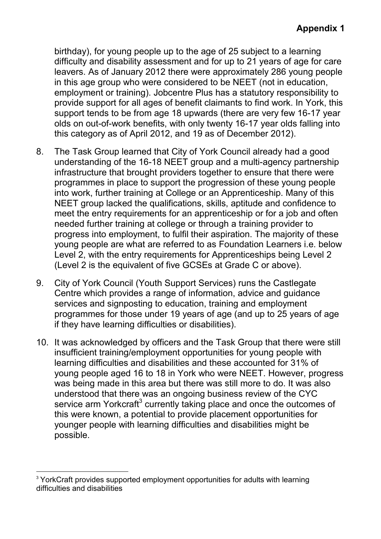birthday), for young people up to the age of 25 subject to a learning difficulty and disability assessment and for up to 21 years of age for care leavers. As of January 2012 there were approximately 286 young people in this age group who were considered to be NEET (not in education, employment or training). Jobcentre Plus has a statutory responsibility to provide support for all ages of benefit claimants to find work. In York, this support tends to be from age 18 upwards (there are very few 16-17 year olds on out-of-work benefits, with only twenty 16-17 year olds falling into this category as of April 2012, and 19 as of December 2012).

- 8. The Task Group learned that City of York Council already had a good understanding of the 16-18 NEET group and a multi-agency partnership infrastructure that brought providers together to ensure that there were programmes in place to support the progression of these young people into work, further training at College or an Apprenticeship. Many of this NEET group lacked the qualifications, skills, aptitude and confidence to meet the entry requirements for an apprenticeship or for a job and often needed further training at college or through a training provider to progress into employment, to fulfil their aspiration. The majority of these young people are what are referred to as Foundation Learners i.e. below Level 2, with the entry requirements for Apprenticeships being Level 2 (Level 2 is the equivalent of five GCSEs at Grade C or above).
- 9. City of York Council (Youth Support Services) runs the Castlegate Centre which provides a range of information, advice and guidance services and signposting to education, training and employment programmes for those under 19 years of age (and up to 25 years of age if they have learning difficulties or disabilities).
- 10. It was acknowledged by officers and the Task Group that there were still insufficient training/employment opportunities for young people with learning difficulties and disabilities and these accounted for 31% of young people aged 16 to 18 in York who were NEET. However, progress was being made in this area but there was still more to do. It was also understood that there was an ongoing business review of the CYC service arm Yorkcraft<sup>3</sup> currently taking place and once the outcomes of this were known, a potential to provide placement opportunities for younger people with learning difficulties and disabilities might be possible.

 $\overline{a}$ <sup>3</sup> YorkCraft provides supported employment opportunities for adults with learning difficulties and disabilities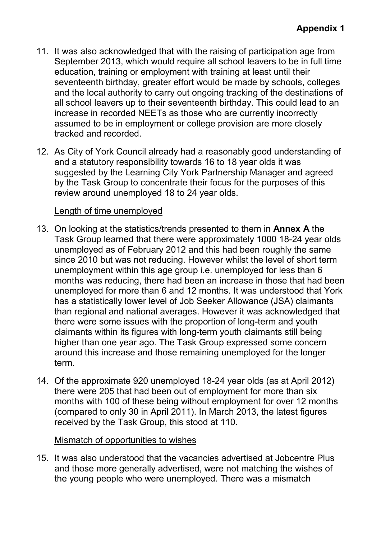- 11. It was also acknowledged that with the raising of participation age from September 2013, which would require all school leavers to be in full time education, training or employment with training at least until their seventeenth birthday, greater effort would be made by schools, colleges and the local authority to carry out ongoing tracking of the destinations of all school leavers up to their seventeenth birthday. This could lead to an increase in recorded NEETs as those who are currently incorrectly assumed to be in employment or college provision are more closely tracked and recorded.
- 12. As City of York Council already had a reasonably good understanding of and a statutory responsibility towards 16 to 18 year olds it was suggested by the Learning City York Partnership Manager and agreed by the Task Group to concentrate their focus for the purposes of this review around unemployed 18 to 24 year olds.

## Length of time unemployed

- 13. On looking at the statistics/trends presented to them in **Annex A** the Task Group learned that there were approximately 1000 18-24 year olds unemployed as of February 2012 and this had been roughly the same since 2010 but was not reducing. However whilst the level of short term unemployment within this age group i.e. unemployed for less than 6 months was reducing, there had been an increase in those that had been unemployed for more than 6 and 12 months. It was understood that York has a statistically lower level of Job Seeker Allowance (JSA) claimants than regional and national averages. However it was acknowledged that there were some issues with the proportion of long-term and youth claimants within its figures with long-term youth claimants still being higher than one year ago. The Task Group expressed some concern around this increase and those remaining unemployed for the longer term.
- 14. Of the approximate 920 unemployed 18-24 year olds (as at April 2012) there were 205 that had been out of employment for more than six months with 100 of these being without employment for over 12 months (compared to only 30 in April 2011). In March 2013, the latest figures received by the Task Group, this stood at 110.

## Mismatch of opportunities to wishes

15. It was also understood that the vacancies advertised at Jobcentre Plus and those more generally advertised, were not matching the wishes of the young people who were unemployed. There was a mismatch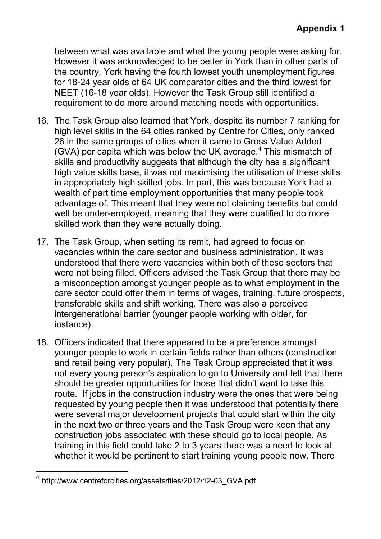between what was available and what the young people were asking for. However it was acknowledged to be better in York than in other parts of the country, York having the fourth lowest youth unemployment figures for 18-24 year olds of 64 UK comparator cities and the third lowest for NEET (16-18 year olds). However the Task Group still identified a requirement to do more around matching needs with opportunities.

- 16. The Task Group also learned that York, despite its number 7 ranking for high level skills in the 64 cities ranked by Centre for Cities, only ranked 26 in the same groups of cities when it came to Gross Value Added (GVA) per capita which was below the UK average.<sup>4</sup> This mismatch of skills and productivity suggests that although the city has a significant high value skills base, it was not maximising the utilisation of these skills in appropriately high skilled jobs. In part, this was because York had a wealth of part time employment opportunities that many people took advantage of. This meant that they were not claiming benefits but could well be under-employed, meaning that they were qualified to do more skilled work than they were actually doing.
- 17. The Task Group, when setting its remit, had agreed to focus on vacancies within the care sector and business administration. It was understood that there were vacancies within both of these sectors that were not being filled. Officers advised the Task Group that there may be a misconception amongst younger people as to what employment in the care sector could offer them in terms of wages, training, future prospects, transferable skills and shift working. There was also a perceived intergenerational barrier (younger people working with older, for instance).
- 18. Officers indicated that there appeared to be a preference amongst younger people to work in certain fields rather than others (construction and retail being very popular). The Task Group appreciated that it was not every young person's aspiration to go to University and felt that there should be greater opportunities for those that didn't want to take this route. If jobs in the construction industry were the ones that were being requested by young people then it was understood that potentially there were several major development projects that could start within the city in the next two or three years and the Task Group were keen that any construction jobs associated with these should go to local people. As training in this field could take 2 to 3 years there was a need to look at whether it would be pertinent to start training young people now. There

 $\overline{a}$ 

<sup>4</sup> http://www.centreforcities.org/assets/files/2012/12-03\_GVA.pdf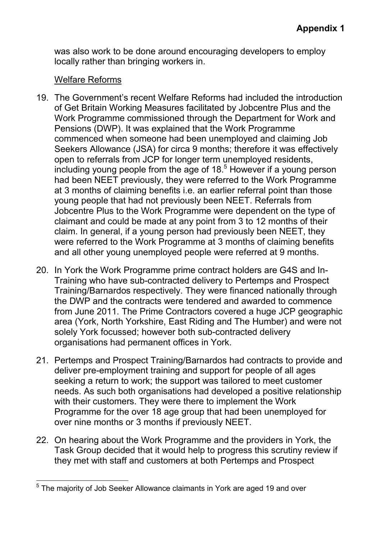was also work to be done around encouraging developers to employ locally rather than bringing workers in.

## Welfare Reforms

- 19. The Government's recent Welfare Reforms had included the introduction of Get Britain Working Measures facilitated by Jobcentre Plus and the Work Programme commissioned through the Department for Work and Pensions (DWP). It was explained that the Work Programme commenced when someone had been unemployed and claiming Job Seekers Allowance (JSA) for circa 9 months; therefore it was effectively open to referrals from JCP for longer term unemployed residents, including young people from the age of  $18<sup>5</sup>$  However if a young person had been NEET previously, they were referred to the Work Programme at 3 months of claiming benefits i.e. an earlier referral point than those young people that had not previously been NEET. Referrals from Jobcentre Plus to the Work Programme were dependent on the type of claimant and could be made at any point from 3 to 12 months of their claim. In general, if a young person had previously been NEET, they were referred to the Work Programme at 3 months of claiming benefits and all other young unemployed people were referred at 9 months.
- 20. In York the Work Programme prime contract holders are G4S and In-Training who have sub-contracted delivery to Pertemps and Prospect Training/Barnardos respectively. They were financed nationally through the DWP and the contracts were tendered and awarded to commence from June 2011. The Prime Contractors covered a huge JCP geographic area (York, North Yorkshire, East Riding and The Humber) and were not solely York focussed; however both sub-contracted delivery organisations had permanent offices in York.
- 21. Pertemps and Prospect Training/Barnardos had contracts to provide and deliver pre-employment training and support for people of all ages seeking a return to work; the support was tailored to meet customer needs. As such both organisations had developed a positive relationship with their customers. They were there to implement the Work Programme for the over 18 age group that had been unemployed for over nine months or 3 months if previously NEET.
- 22. On hearing about the Work Programme and the providers in York, the Task Group decided that it would help to progress this scrutiny review if they met with staff and customers at both Pertemps and Prospect

 $\overline{a}$ <sup>5</sup> The majority of Job Seeker Allowance claimants in York are aged 19 and over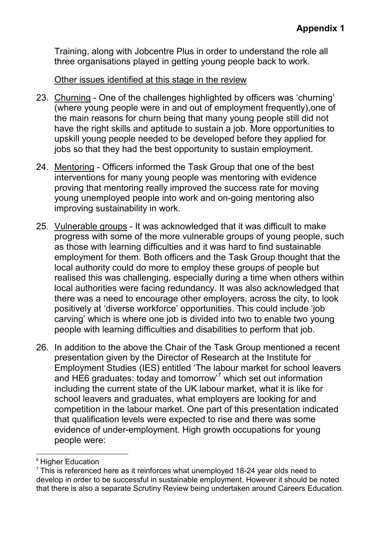Training, along with Jobcentre Plus in order to understand the role all three organisations played in getting young people back to work.

## Other issues identified at this stage in the review

- 23. Churning One of the challenges highlighted by officers was 'churning' (where young people were in and out of employment frequently),one of the main reasons for churn being that many young people still did not have the right skills and aptitude to sustain a job. More opportunities to upskill young people needed to be developed before they applied for jobs so that they had the best opportunity to sustain employment.
- 24. Mentoring Officers informed the Task Group that one of the best interventions for many young people was mentoring with evidence proving that mentoring really improved the success rate for moving young unemployed people into work and on-going mentoring also improving sustainability in work.
- 25. Vulnerable groups It was acknowledged that it was difficult to make progress with some of the more vulnerable groups of young people, such as those with learning difficulties and it was hard to find sustainable employment for them. Both officers and the Task Group thought that the local authority could do more to employ these groups of people but realised this was challenging, especially during a time when others within local authorities were facing redundancy. It was also acknowledged that there was a need to encourage other employers, across the city, to look positively at 'diverse workforce' opportunities. This could include 'job carving' which is where one job is divided into two to enable two young people with learning difficulties and disabilities to perform that job.
- 26. In addition to the above the Chair of the Task Group mentioned a recent presentation given by the Director of Research at the Institute for Employment Studies (IES) entitled 'The labour market for school leavers and HE6 graduates: today and tomorrow<sup>7</sup> which set out information including the current state of the UK labour market, what it is like for school leavers and graduates, what employers are looking for and competition in the labour market. One part of this presentation indicated that qualification levels were expected to rise and there was some evidence of under-employment. High growth occupations for young people were:

 $\overline{a}$ <sup>6</sup> Higher Education

 $7$  This is referenced here as it reinforces what unemploved 18-24 year olds need to develop in order to be successful in sustainable employment. However it should be noted that there is also a separate Scrutiny Review being undertaken around Careers Education.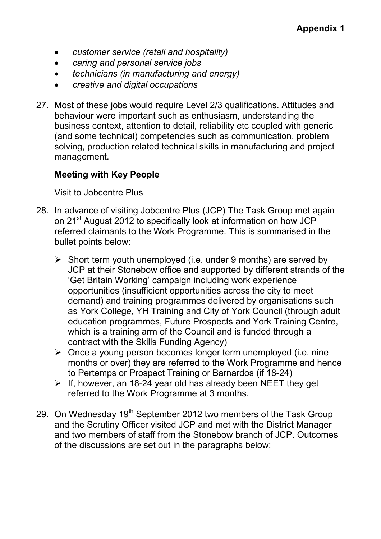- *customer service (retail and hospitality)*
- *caring and personal service jobs*
- *technicians (in manufacturing and energy)*
- *creative and digital occupations*
- 27. Most of these jobs would require Level 2/3 qualifications. Attitudes and behaviour were important such as enthusiasm, understanding the business context, attention to detail, reliability etc coupled with generic (and some technical) competencies such as communication, problem solving, production related technical skills in manufacturing and project management.

## **Meeting with Key People**

## Visit to Jobcentre Plus

- 28. In advance of visiting Jobcentre Plus (JCP) The Task Group met again on 21<sup>st</sup> August 2012 to specifically look at information on how JCP referred claimants to the Work Programme. This is summarised in the bullet points below:
	- $\triangleright$  Short term youth unemployed (i.e. under 9 months) are served by JCP at their Stonebow office and supported by different strands of the 'Get Britain Working' campaign including work experience opportunities (insufficient opportunities across the city to meet demand) and training programmes delivered by organisations such as York College, YH Training and City of York Council (through adult education programmes, Future Prospects and York Training Centre, which is a training arm of the Council and is funded through a contract with the Skills Funding Agency)
	- $\triangleright$  Once a young person becomes longer term unemployed (i.e. nine months or over) they are referred to the Work Programme and hence to Pertemps or Prospect Training or Barnardos (if 18-24)
	- $\triangleright$  If, however, an 18-24 year old has already been NEET they get referred to the Work Programme at 3 months.
- 29. On Wednesday  $19<sup>th</sup>$  September 2012 two members of the Task Group and the Scrutiny Officer visited JCP and met with the District Manager and two members of staff from the Stonebow branch of JCP. Outcomes of the discussions are set out in the paragraphs below: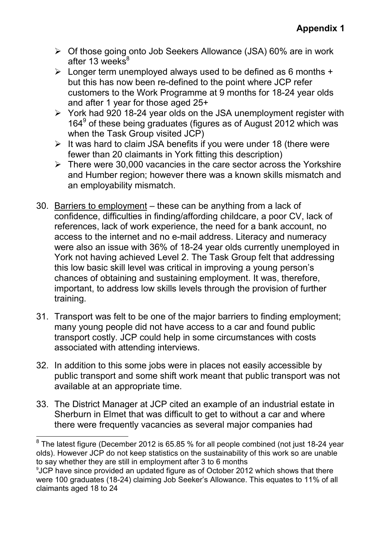- $\triangleright$  Of those going onto Job Seekers Allowance (JSA) 60% are in work after 13 weeks $8^8$
- $\triangleright$  Longer term unemployed always used to be defined as 6 months + but this has now been re-defined to the point where JCP refer customers to the Work Programme at 9 months for 18-24 year olds and after 1 year for those aged 25+
- $\triangleright$  York had 920 18-24 year olds on the JSA unemployment register with 164<sup>9</sup> of these being graduates (figures as of August 2012 which was when the Task Group visited JCP)
- $\triangleright$  It was hard to claim JSA benefits if you were under 18 (there were fewer than 20 claimants in York fitting this description)
- $\triangleright$  There were 30,000 vacancies in the care sector across the Yorkshire and Humber region; however there was a known skills mismatch and an employability mismatch.
- 30. Barriers to employment these can be anything from a lack of confidence, difficulties in finding/affording childcare, a poor CV, lack of references, lack of work experience, the need for a bank account, no access to the internet and no e-mail address. Literacy and numeracy were also an issue with 36% of 18-24 year olds currently unemployed in York not having achieved Level 2. The Task Group felt that addressing this low basic skill level was critical in improving a young person's chances of obtaining and sustaining employment. It was, therefore, important, to address low skills levels through the provision of further training.
- 31. Transport was felt to be one of the major barriers to finding employment; many young people did not have access to a car and found public transport costly. JCP could help in some circumstances with costs associated with attending interviews.
- 32. In addition to this some jobs were in places not easily accessible by public transport and some shift work meant that public transport was not available at an appropriate time.
- 33. The District Manager at JCP cited an example of an industrial estate in Sherburn in Elmet that was difficult to get to without a car and where there were frequently vacancies as several major companies had

 8 The latest figure (December 2012 is 65.85 % for all people combined (not just 18-24 year olds). However JCP do not keep statistics on the sustainability of this work so are unable to say whether they are still in employment after 3 to 6 months

<sup>9</sup> JCP have since provided an updated figure as of October 2012 which shows that there were 100 graduates (18-24) claiming Job Seeker's Allowance. This equates to 11% of all claimants aged 18 to 24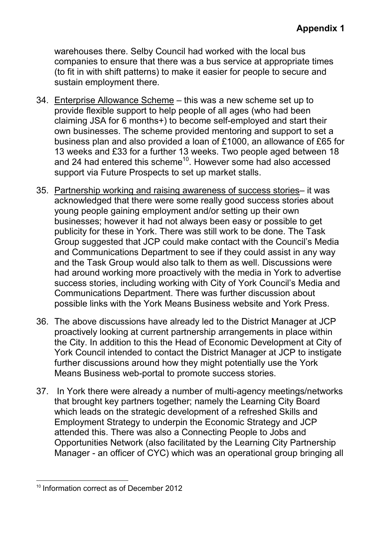warehouses there. Selby Council had worked with the local bus companies to ensure that there was a bus service at appropriate times (to fit in with shift patterns) to make it easier for people to secure and sustain employment there.

- 34. Enterprise Allowance Scheme this was a new scheme set up to provide flexible support to help people of all ages (who had been claiming JSA for 6 months+) to become self-employed and start their own businesses. The scheme provided mentoring and support to set a business plan and also provided a loan of £1000, an allowance of £65 for 13 weeks and £33 for a further 13 weeks. Two people aged between 18 and 24 had entered this scheme<sup>10</sup>. However some had also accessed support via Future Prospects to set up market stalls.
- 35. Partnership working and raising awareness of success stories– it was acknowledged that there were some really good success stories about young people gaining employment and/or setting up their own businesses; however it had not always been easy or possible to get publicity for these in York. There was still work to be done. The Task Group suggested that JCP could make contact with the Council's Media and Communications Department to see if they could assist in any way and the Task Group would also talk to them as well. Discussions were had around working more proactively with the media in York to advertise success stories, including working with City of York Council's Media and Communications Department. There was further discussion about possible links with the York Means Business website and York Press.
- 36. The above discussions have already led to the District Manager at JCP proactively looking at current partnership arrangements in place within the City. In addition to this the Head of Economic Development at City of York Council intended to contact the District Manager at JCP to instigate further discussions around how they might potentially use the York Means Business web-portal to promote success stories.
- 37. In York there were already a number of multi-agency meetings/networks that brought key partners together; namely the Learning City Board which leads on the strategic development of a refreshed Skills and Employment Strategy to underpin the Economic Strategy and JCP attended this. There was also a Connecting People to Jobs and Opportunities Network (also facilitated by the Learning City Partnership Manager - an officer of CYC) which was an operational group bringing all

 $\overline{a}$ <sup>10</sup> Information correct as of December 2012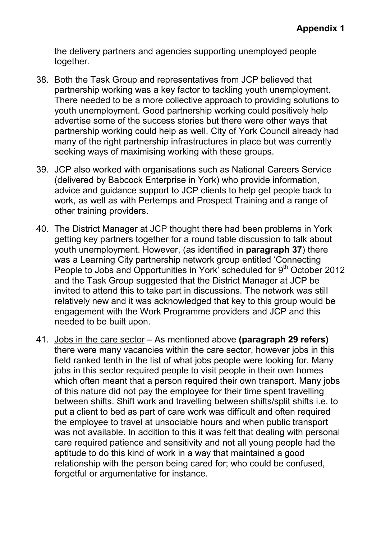the delivery partners and agencies supporting unemployed people together.

- 38. Both the Task Group and representatives from JCP believed that partnership working was a key factor to tackling youth unemployment. There needed to be a more collective approach to providing solutions to youth unemployment. Good partnership working could positively help advertise some of the success stories but there were other ways that partnership working could help as well. City of York Council already had many of the right partnership infrastructures in place but was currently seeking ways of maximising working with these groups.
- 39. JCP also worked with organisations such as National Careers Service (delivered by Babcock Enterprise in York) who provide information, advice and guidance support to JCP clients to help get people back to work, as well as with Pertemps and Prospect Training and a range of other training providers.
- 40. The District Manager at JCP thought there had been problems in York getting key partners together for a round table discussion to talk about youth unemployment. However, (as identified in **paragraph 37**) there was a Learning City partnership network group entitled 'Connecting People to Jobs and Opportunities in York' scheduled for 9<sup>th</sup> October 2012 and the Task Group suggested that the District Manager at JCP be invited to attend this to take part in discussions. The network was still relatively new and it was acknowledged that key to this group would be engagement with the Work Programme providers and JCP and this needed to be built upon.
- 41. Jobs in the care sector As mentioned above **(paragraph 29 refers)** there were many vacancies within the care sector, however jobs in this field ranked tenth in the list of what jobs people were looking for. Many jobs in this sector required people to visit people in their own homes which often meant that a person required their own transport. Many jobs of this nature did not pay the employee for their time spent travelling between shifts. Shift work and travelling between shifts/split shifts i.e. to put a client to bed as part of care work was difficult and often required the employee to travel at unsociable hours and when public transport was not available. In addition to this it was felt that dealing with personal care required patience and sensitivity and not all young people had the aptitude to do this kind of work in a way that maintained a good relationship with the person being cared for; who could be confused, forgetful or argumentative for instance.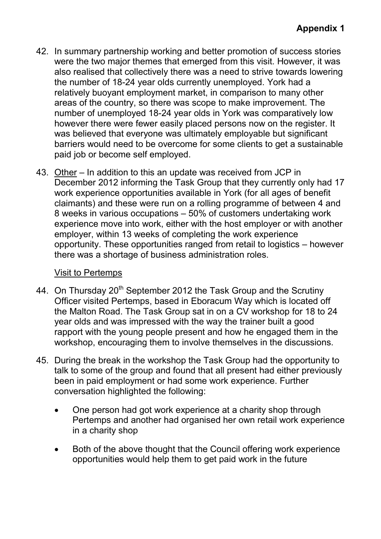- 42. In summary partnership working and better promotion of success stories were the two major themes that emerged from this visit. However, it was also realised that collectively there was a need to strive towards lowering the number of 18-24 year olds currently unemployed. York had a relatively buoyant employment market, in comparison to many other areas of the country, so there was scope to make improvement. The number of unemployed 18-24 year olds in York was comparatively low however there were fewer easily placed persons now on the register. It was believed that everyone was ultimately employable but significant barriers would need to be overcome for some clients to get a sustainable paid job or become self employed.
- 43. Other In addition to this an update was received from JCP in December 2012 informing the Task Group that they currently only had 17 work experience opportunities available in York (for all ages of benefit claimants) and these were run on a rolling programme of between 4 and 8 weeks in various occupations – 50% of customers undertaking work experience move into work, either with the host employer or with another employer, within 13 weeks of completing the work experience opportunity. These opportunities ranged from retail to logistics – however there was a shortage of business administration roles.

## Visit to Pertemps

- 44. On Thursday 20<sup>th</sup> September 2012 the Task Group and the Scrutiny Officer visited Pertemps, based in Eboracum Way which is located off the Malton Road. The Task Group sat in on a CV workshop for 18 to 24 year olds and was impressed with the way the trainer built a good rapport with the young people present and how he engaged them in the workshop, encouraging them to involve themselves in the discussions.
- 45. During the break in the workshop the Task Group had the opportunity to talk to some of the group and found that all present had either previously been in paid employment or had some work experience. Further conversation highlighted the following:
	- One person had got work experience at a charity shop through Pertemps and another had organised her own retail work experience in a charity shop
	- Both of the above thought that the Council offering work experience opportunities would help them to get paid work in the future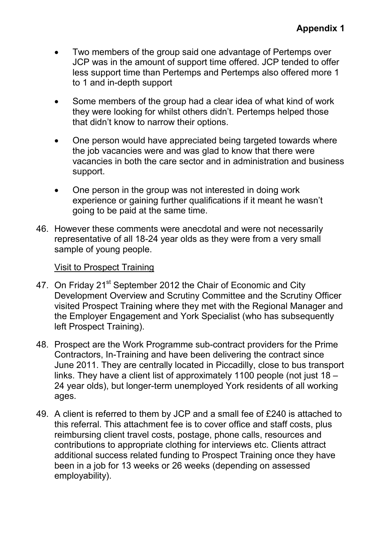- Two members of the group said one advantage of Pertemps over JCP was in the amount of support time offered. JCP tended to offer less support time than Pertemps and Pertemps also offered more 1 to 1 and in-depth support
- Some members of the group had a clear idea of what kind of work they were looking for whilst others didn't. Pertemps helped those that didn't know to narrow their options.
- One person would have appreciated being targeted towards where the job vacancies were and was glad to know that there were vacancies in both the care sector and in administration and business support.
- One person in the group was not interested in doing work experience or gaining further qualifications if it meant he wasn't going to be paid at the same time.
- 46. However these comments were anecdotal and were not necessarily representative of all 18-24 year olds as they were from a very small sample of young people.

## Visit to Prospect Training

- 47. On Friday 21<sup>st</sup> September 2012 the Chair of Economic and City Development Overview and Scrutiny Committee and the Scrutiny Officer visited Prospect Training where they met with the Regional Manager and the Employer Engagement and York Specialist (who has subsequently left Prospect Training).
- 48. Prospect are the Work Programme sub-contract providers for the Prime Contractors, In-Training and have been delivering the contract since June 2011. They are centrally located in Piccadilly, close to bus transport links. They have a client list of approximately 1100 people (not just 18 – 24 year olds), but longer-term unemployed York residents of all working ages.
- 49. A client is referred to them by JCP and a small fee of £240 is attached to this referral. This attachment fee is to cover office and staff costs, plus reimbursing client travel costs, postage, phone calls, resources and contributions to appropriate clothing for interviews etc. Clients attract additional success related funding to Prospect Training once they have been in a job for 13 weeks or 26 weeks (depending on assessed employability).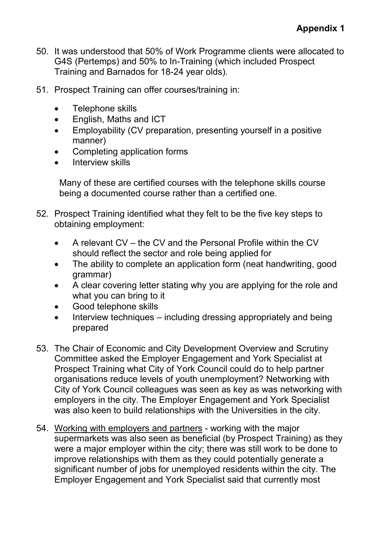- 50. It was understood that 50% of Work Programme clients were allocated to G4S (Pertemps) and 50% to In-Training (which included Prospect Training and Barnados for 18-24 year olds).
- 51. Prospect Training can offer courses/training in:
	- Telephone skills
	- English, Maths and ICT
	- Employability (CV preparation, presenting yourself in a positive manner)
	- Completing application forms
	- Interview skills

 Many of these are certified courses with the telephone skills course being a documented course rather than a certified one.

- 52. Prospect Training identified what they felt to be the five key steps to obtaining employment:
	- A relevant CV the CV and the Personal Profile within the CV should reflect the sector and role being applied for
	- The ability to complete an application form (neat handwriting, good grammar)
	- A clear covering letter stating why you are applying for the role and what you can bring to it
	- Good telephone skills
	- Interview techniques including dressing appropriately and being prepared
- 53. The Chair of Economic and City Development Overview and Scrutiny Committee asked the Employer Engagement and York Specialist at Prospect Training what City of York Council could do to help partner organisations reduce levels of youth unemployment? Networking with City of York Council colleagues was seen as key as was networking with employers in the city. The Employer Engagement and York Specialist was also keen to build relationships with the Universities in the city.
- 54. Working with employers and partners working with the major supermarkets was also seen as beneficial (by Prospect Training) as they were a major employer within the city; there was still work to be done to improve relationships with them as they could potentially generate a significant number of jobs for unemployed residents within the city. The Employer Engagement and York Specialist said that currently most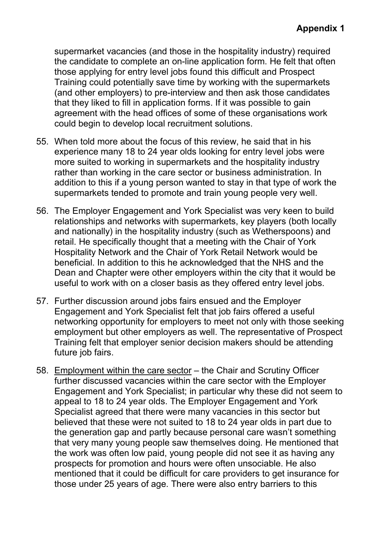supermarket vacancies (and those in the hospitality industry) required the candidate to complete an on-line application form. He felt that often those applying for entry level jobs found this difficult and Prospect Training could potentially save time by working with the supermarkets (and other employers) to pre-interview and then ask those candidates that they liked to fill in application forms. If it was possible to gain agreement with the head offices of some of these organisations work could begin to develop local recruitment solutions.

- 55. When told more about the focus of this review, he said that in his experience many 18 to 24 year olds looking for entry level jobs were more suited to working in supermarkets and the hospitality industry rather than working in the care sector or business administration. In addition to this if a young person wanted to stay in that type of work the supermarkets tended to promote and train young people very well.
- 56. The Employer Engagement and York Specialist was very keen to build relationships and networks with supermarkets, key players (both locally and nationally) in the hospitality industry (such as Wetherspoons) and retail. He specifically thought that a meeting with the Chair of York Hospitality Network and the Chair of York Retail Network would be beneficial. In addition to this he acknowledged that the NHS and the Dean and Chapter were other employers within the city that it would be useful to work with on a closer basis as they offered entry level jobs.
- 57. Further discussion around jobs fairs ensued and the Employer Engagement and York Specialist felt that job fairs offered a useful networking opportunity for employers to meet not only with those seeking employment but other employers as well. The representative of Prospect Training felt that employer senior decision makers should be attending future job fairs.
- 58. Employment within the care sector the Chair and Scrutiny Officer further discussed vacancies within the care sector with the Employer Engagement and York Specialist; in particular why these did not seem to appeal to 18 to 24 year olds. The Employer Engagement and York Specialist agreed that there were many vacancies in this sector but believed that these were not suited to 18 to 24 year olds in part due to the generation gap and partly because personal care wasn't something that very many young people saw themselves doing. He mentioned that the work was often low paid, young people did not see it as having any prospects for promotion and hours were often unsociable. He also mentioned that it could be difficult for care providers to get insurance for those under 25 years of age. There were also entry barriers to this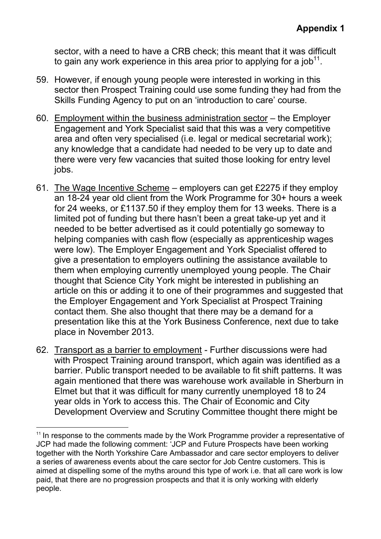sector, with a need to have a CRB check; this meant that it was difficult to gain any work experience in this area prior to applying for a job $^{\mathsf{11}}$ .

- 59. However, if enough young people were interested in working in this sector then Prospect Training could use some funding they had from the Skills Funding Agency to put on an 'introduction to care' course.
- 60. Employment within the business administration sector the Employer Engagement and York Specialist said that this was a very competitive area and often very specialised (i.e. legal or medical secretarial work); any knowledge that a candidate had needed to be very up to date and there were very few vacancies that suited those looking for entry level jobs.
- 61. The Wage Incentive Scheme employers can get £2275 if they employ an 18-24 year old client from the Work Programme for 30+ hours a week for 24 weeks, or £1137.50 if they employ them for 13 weeks. There is a limited pot of funding but there hasn't been a great take-up yet and it needed to be better advertised as it could potentially go someway to helping companies with cash flow (especially as apprenticeship wages were low). The Employer Engagement and York Specialist offered to give a presentation to employers outlining the assistance available to them when employing currently unemployed young people. The Chair thought that Science City York might be interested in publishing an article on this or adding it to one of their programmes and suggested that the Employer Engagement and York Specialist at Prospect Training contact them. She also thought that there may be a demand for a presentation like this at the York Business Conference, next due to take place in November 2013.
- 62. Transport as a barrier to employment Further discussions were had with Prospect Training around transport, which again was identified as a barrier. Public transport needed to be available to fit shift patterns. It was again mentioned that there was warehouse work available in Sherburn in Elmet but that it was difficult for many currently unemployed 18 to 24 year olds in York to access this. The Chair of Economic and City Development Overview and Scrutiny Committee thought there might be

 $\overline{a}$ 

 $11$  In response to the comments made by the Work Programme provider a representative of JCP had made the following comment: 'JCP and Future Prospects have been working together with the North Yorkshire Care Ambassador and care sector employers to deliver a series of awareness events about the care sector for Job Centre customers. This is aimed at dispelling some of the myths around this type of work i.e. that all care work is low paid, that there are no progression prospects and that it is only working with elderly people.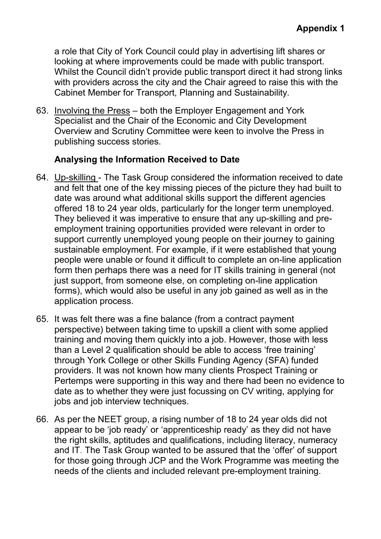a role that City of York Council could play in advertising lift shares or looking at where improvements could be made with public transport. Whilst the Council didn't provide public transport direct it had strong links with providers across the city and the Chair agreed to raise this with the Cabinet Member for Transport, Planning and Sustainability.

63. Involving the Press – both the Employer Engagement and York Specialist and the Chair of the Economic and City Development Overview and Scrutiny Committee were keen to involve the Press in publishing success stories.

## **Analysing the Information Received to Date**

- 64. Up-skilling The Task Group considered the information received to date and felt that one of the key missing pieces of the picture they had built to date was around what additional skills support the different agencies offered 18 to 24 year olds, particularly for the longer term unemployed. They believed it was imperative to ensure that any up-skilling and preemployment training opportunities provided were relevant in order to support currently unemployed young people on their journey to gaining sustainable employment. For example, if it were established that young people were unable or found it difficult to complete an on-line application form then perhaps there was a need for IT skills training in general (not just support, from someone else, on completing on-line application forms), which would also be useful in any job gained as well as in the application process.
- 65. It was felt there was a fine balance (from a contract payment perspective) between taking time to upskill a client with some applied training and moving them quickly into a job. However, those with less than a Level 2 qualification should be able to access 'free training' through York College or other Skills Funding Agency (SFA) funded providers. It was not known how many clients Prospect Training or Pertemps were supporting in this way and there had been no evidence to date as to whether they were just focussing on CV writing, applying for jobs and job interview techniques.
- 66. As per the NEET group, a rising number of 18 to 24 year olds did not appear to be 'job ready' or 'apprenticeship ready' as they did not have the right skills, aptitudes and qualifications, including literacy, numeracy and IT. The Task Group wanted to be assured that the 'offer' of support for those going through JCP and the Work Programme was meeting the needs of the clients and included relevant pre-employment training.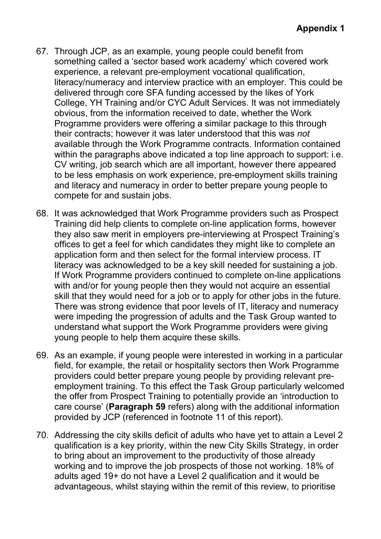- 67. Through JCP, as an example, young people could benefit from something called a 'sector based work academy' which covered work experience, a relevant pre-employment vocational qualification, literacy/numeracy and interview practice with an employer. This could be delivered through core SFA funding accessed by the likes of York College, YH Training and/or CYC Adult Services. It was not immediately obvious, from the information received to date, whether the Work Programme providers were offering a similar package to this through their contracts; however it was later understood that this was *not*  available through the Work Programme contracts. Information contained within the paragraphs above indicated a top line approach to support: i.e. CV writing, job search which are all important, however there appeared to be less emphasis on work experience, pre-employment skills training and literacy and numeracy in order to better prepare young people to compete for and sustain jobs.
- 68. It was acknowledged that Work Programme providers such as Prospect Training did help clients to complete on-line application forms, however they also saw merit in employers pre-interviewing at Prospect Training's offices to get a feel for which candidates they might like to complete an application form and then select for the formal interview process. IT literacy was acknowledged to be a key skill needed for sustaining a job. If Work Programme providers continued to complete on-line applications with and/or for young people then they would not acquire an essential skill that they would need for a job or to apply for other jobs in the future. There was strong evidence that poor levels of IT, literacy and numeracy were impeding the progression of adults and the Task Group wanted to understand what support the Work Programme providers were giving young people to help them acquire these skills.
- 69. As an example, if young people were interested in working in a particular field, for example, the retail or hospitality sectors then Work Programme providers could better prepare young people by providing relevant preemployment training. To this effect the Task Group particularly welcomed the offer from Prospect Training to potentially provide an 'introduction to care course' (**Paragraph 59** refers) along with the additional information provided by JCP (referenced in footnote 11 of this report).
- 70. Addressing the city skills deficit of adults who have yet to attain a Level 2 qualification is a key priority, within the new City Skills Strategy, in order to bring about an improvement to the productivity of those already working and to improve the job prospects of those not working. 18% of adults aged 19+ do not have a Level 2 qualification and it would be advantageous, whilst staying within the remit of this review, to prioritise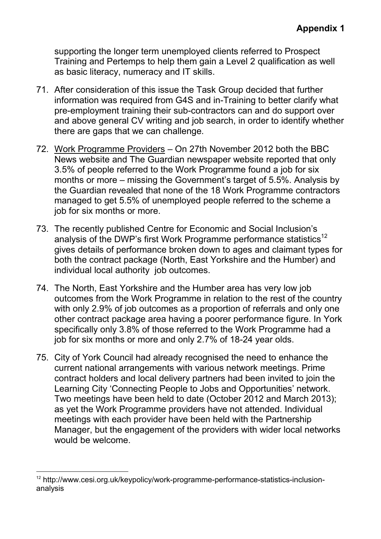supporting the longer term unemployed clients referred to Prospect Training and Pertemps to help them gain a Level 2 qualification as well as basic literacy, numeracy and IT skills.

- 71. After consideration of this issue the Task Group decided that further information was required from G4S and in-Training to better clarify what pre-employment training their sub-contractors can and do support over and above general CV writing and job search, in order to identify whether there are gaps that we can challenge.
- 72. Work Programme Providers On 27th November 2012 both the BBC News website and The Guardian newspaper website reported that only 3.5% of people referred to the Work Programme found a job for six months or more – missing the Government's target of 5.5%. Analysis by the Guardian revealed that none of the 18 Work Programme contractors managed to get 5.5% of unemployed people referred to the scheme a job for six months or more.
- 73. The recently published Centre for Economic and Social Inclusion's analysis of the DWP's first Work Programme performance statistics<sup>12</sup> gives details of performance broken down to ages and claimant types for both the contract package (North, East Yorkshire and the Humber) and individual local authority job outcomes.
- 74. The North, East Yorkshire and the Humber area has very low job outcomes from the Work Programme in relation to the rest of the country with only 2.9% of job outcomes as a proportion of referrals and only one other contract package area having a poorer performance figure. In York specifically only 3.8% of those referred to the Work Programme had a job for six months or more and only 2.7% of 18-24 year olds.
- 75. City of York Council had already recognised the need to enhance the current national arrangements with various network meetings. Prime contract holders and local delivery partners had been invited to join the Learning City 'Connecting People to Jobs and Opportunities' network. Two meetings have been held to date (October 2012 and March 2013); as yet the Work Programme providers have not attended. Individual meetings with each provider have been held with the Partnership Manager, but the engagement of the providers with wider local networks would be welcome.

 $\overline{a}$ 

<sup>&</sup>lt;sup>12</sup> http://www.cesi.org.uk/keypolicy/work-programme-performance-statistics-inclusionanalysis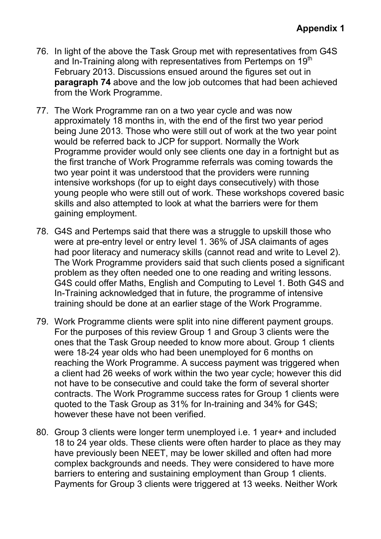- 76. In light of the above the Task Group met with representatives from G4S and In-Training along with representatives from Pertemps on 19<sup>th</sup> February 2013. Discussions ensued around the figures set out in **paragraph 74** above and the low job outcomes that had been achieved from the Work Programme.
- 77. The Work Programme ran on a two year cycle and was now approximately 18 months in, with the end of the first two year period being June 2013. Those who were still out of work at the two year point would be referred back to JCP for support. Normally the Work Programme provider would only see clients one day in a fortnight but as the first tranche of Work Programme referrals was coming towards the two year point it was understood that the providers were running intensive workshops (for up to eight days consecutively) with those young people who were still out of work. These workshops covered basic skills and also attempted to look at what the barriers were for them gaining employment.
- 78. G4S and Pertemps said that there was a struggle to upskill those who were at pre-entry level or entry level 1. 36% of JSA claimants of ages had poor literacy and numeracy skills (cannot read and write to Level 2). The Work Programme providers said that such clients posed a significant problem as they often needed one to one reading and writing lessons. G4S could offer Maths, English and Computing to Level 1. Both G4S and In-Training acknowledged that in future, the programme of intensive training should be done at an earlier stage of the Work Programme.
- 79. Work Programme clients were split into nine different payment groups. For the purposes of this review Group 1 and Group 3 clients were the ones that the Task Group needed to know more about. Group 1 clients were 18-24 year olds who had been unemployed for 6 months on reaching the Work Programme. A success payment was triggered when a client had 26 weeks of work within the two year cycle; however this did not have to be consecutive and could take the form of several shorter contracts. The Work Programme success rates for Group 1 clients were quoted to the Task Group as 31% for In-training and 34% for G4S; however these have not been verified.
- 80. Group 3 clients were longer term unemployed i.e. 1 year+ and included 18 to 24 year olds. These clients were often harder to place as they may have previously been NEET, may be lower skilled and often had more complex backgrounds and needs. They were considered to have more barriers to entering and sustaining employment than Group 1 clients. Payments for Group 3 clients were triggered at 13 weeks. Neither Work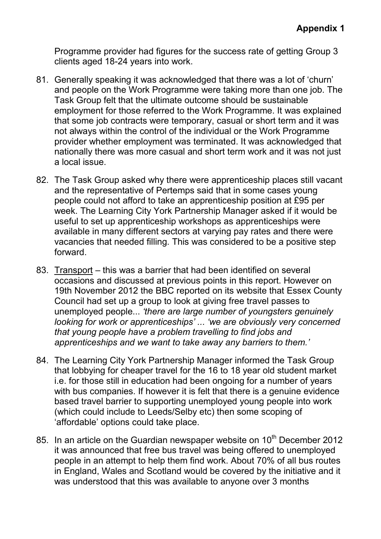Programme provider had figures for the success rate of getting Group 3 clients aged 18-24 years into work.

- 81. Generally speaking it was acknowledged that there was a lot of 'churn' and people on the Work Programme were taking more than one job. The Task Group felt that the ultimate outcome should be sustainable employment for those referred to the Work Programme. It was explained that some job contracts were temporary, casual or short term and it was not always within the control of the individual or the Work Programme provider whether employment was terminated. It was acknowledged that nationally there was more casual and short term work and it was not just a local issue.
- 82. The Task Group asked why there were apprenticeship places still vacant and the representative of Pertemps said that in some cases young people could not afford to take an apprenticeship position at £95 per week. The Learning City York Partnership Manager asked if it would be useful to set up apprenticeship workshops as apprenticeships were available in many different sectors at varying pay rates and there were vacancies that needed filling. This was considered to be a positive step forward.
- 83. Transport this was a barrier that had been identified on several occasions and discussed at previous points in this report. However on 19th November 2012 the BBC reported on its website that Essex County Council had set up a group to look at giving free travel passes to unemployed people... *'there are large number of youngsters genuinely looking for work or apprenticeships' ... 'we are obviously very concerned that young people have a problem travelling to find jobs and apprenticeships and we want to take away any barriers to them.'*
- 84. The Learning City York Partnership Manager informed the Task Group that lobbying for cheaper travel for the 16 to 18 year old student market i.e. for those still in education had been ongoing for a number of years with bus companies. If however it is felt that there is a genuine evidence based travel barrier to supporting unemployed young people into work (which could include to Leeds/Selby etc) then some scoping of 'affordable' options could take place.
- 85. In an article on the Guardian newspaper website on  $10<sup>th</sup>$  December 2012 it was announced that free bus travel was being offered to unemployed people in an attempt to help them find work. About 70% of all bus routes in England, Wales and Scotland would be covered by the initiative and it was understood that this was available to anyone over 3 months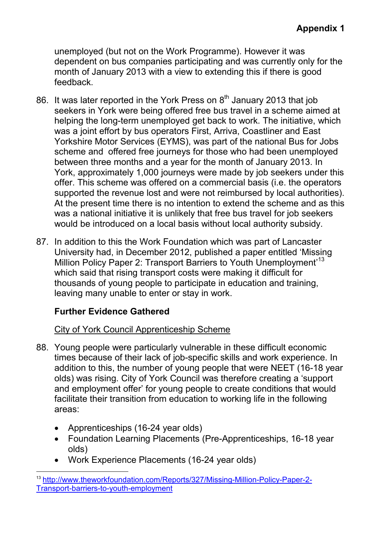unemployed (but not on the Work Programme). However it was dependent on bus companies participating and was currently only for the month of January 2013 with a view to extending this if there is good feedback.

- 86. It was later reported in the York Press on  $8<sup>th</sup>$  January 2013 that job seekers in York were being offered free bus travel in a scheme aimed at helping the long-term unemployed get back to work. The initiative, which was a joint effort by bus operators First, Arriva, Coastliner and East Yorkshire Motor Services (EYMS), was part of the national Bus for Jobs scheme and offered free journeys for those who had been unemployed between three months and a year for the month of January 2013. In York, approximately 1,000 journeys were made by job seekers under this offer. This scheme was offered on a commercial basis (i.e. the operators supported the revenue lost and were not reimbursed by local authorities). At the present time there is no intention to extend the scheme and as this was a national initiative it is unlikely that free bus travel for job seekers would be introduced on a local basis without local authority subsidy.
- 87. In addition to this the Work Foundation which was part of Lancaster University had, in December 2012, published a paper entitled 'Missing Million Policy Paper 2: Transport Barriers to Youth Unemployment<sup>13</sup> which said that rising transport costs were making it difficult for thousands of young people to participate in education and training, leaving many unable to enter or stay in work.

# **Further Evidence Gathered**

## City of York Council Apprenticeship Scheme

- 88. Young people were particularly vulnerable in these difficult economic times because of their lack of job-specific skills and work experience. In addition to this, the number of young people that were NEET (16-18 year olds) was rising. City of York Council was therefore creating a 'support and employment offer' for young people to create conditions that would facilitate their transition from education to working life in the following areas:
	- Apprenticeships (16-24 year olds)
	- Foundation Learning Placements (Pre-Apprenticeships, 16-18 year olds)
	- Work Experience Placements (16-24 year olds)

 $\overline{a}$ <sup>13</sup> http://www.theworkfoundation.com/Reports/327/Missing-Million-Policy-Paper-2- Transport-barriers-to-youth-employment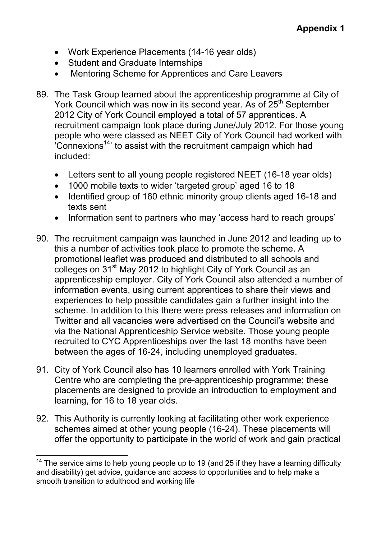- Work Experience Placements (14-16 year olds)
- Student and Graduate Internships
- Mentoring Scheme for Apprentices and Care Leavers
- 89. The Task Group learned about the apprenticeship programme at City of York Council which was now in its second year. As of 25<sup>th</sup> September 2012 City of York Council employed a total of 57 apprentices. A recruitment campaign took place during June/July 2012. For those young people who were classed as NEET City of York Council had worked with  $^{4}$ Connexions<sup>14,</sup> to assist with the recruitment campaign which had included:
	- Letters sent to all young people registered NEET (16-18 year olds)
	- 1000 mobile texts to wider 'targeted group' aged 16 to 18
	- Identified group of 160 ethnic minority group clients aged 16-18 and texts sent
	- Information sent to partners who may 'access hard to reach groups'
- 90. The recruitment campaign was launched in June 2012 and leading up to this a number of activities took place to promote the scheme. A promotional leaflet was produced and distributed to all schools and colleges on 31<sup>st</sup> May 2012 to highlight City of York Council as an apprenticeship employer. City of York Council also attended a number of information events, using current apprentices to share their views and experiences to help possible candidates gain a further insight into the scheme. In addition to this there were press releases and information on Twitter and all vacancies were advertised on the Council's website and via the National Apprenticeship Service website. Those young people recruited to CYC Apprenticeships over the last 18 months have been between the ages of 16-24, including unemployed graduates.
- 91. City of York Council also has 10 learners enrolled with York Training Centre who are completing the pre-apprenticeship programme; these placements are designed to provide an introduction to employment and learning, for 16 to 18 year olds.
- 92. This Authority is currently looking at facilitating other work experience schemes aimed at other young people (16-24). These placements will offer the opportunity to participate in the world of work and gain practical

 $\overline{a}$  $14$  The service aims to help young people up to 19 (and 25 if they have a learning difficulty and disability) get advice, guidance and access to opportunities and to help make a smooth transition to adulthood and working life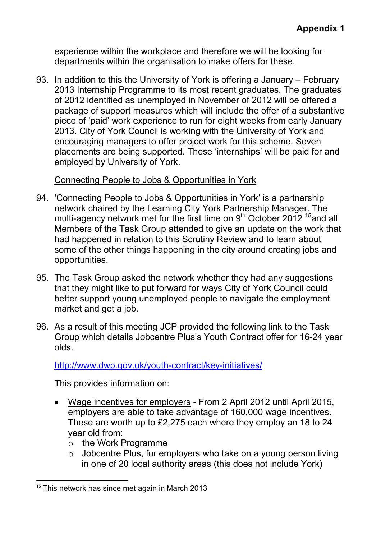experience within the workplace and therefore we will be looking for departments within the organisation to make offers for these.

93. In addition to this the University of York is offering a January – February 2013 Internship Programme to its most recent graduates. The graduates of 2012 identified as unemployed in November of 2012 will be offered a package of support measures which will include the offer of a substantive piece of 'paid' work experience to run for eight weeks from early January 2013. City of York Council is working with the University of York and encouraging managers to offer project work for this scheme. Seven placements are being supported. These 'internships' will be paid for and employed by University of York.

Connecting People to Jobs & Opportunities in York

- 94. 'Connecting People to Jobs & Opportunities in York' is a partnership network chaired by the Learning City York Partnership Manager. The multi-agency network met for the first time on  $9<sup>th</sup>$  October 2012<sup>15</sup> and all Members of the Task Group attended to give an update on the work that had happened in relation to this Scrutiny Review and to learn about some of the other things happening in the city around creating jobs and opportunities.
- 95. The Task Group asked the network whether they had any suggestions that they might like to put forward for ways City of York Council could better support young unemployed people to navigate the employment market and get a job.
- 96. As a result of this meeting JCP provided the following link to the Task Group which details Jobcentre Plus's Youth Contract offer for 16-24 year olds.

http://www.dwp.gov.uk/youth-contract/key-initiatives/

This provides information on:

- Wage incentives for employers From 2 April 2012 until April 2015, employers are able to take advantage of 160,000 wage incentives. These are worth up to £2,275 each where they employ an 18 to 24 year old from:
	- o the Work Programme
	- $\circ$  Jobcentre Plus, for employers who take on a young person living in one of 20 local authority areas (this does not include York)

 $\overline{a}$ <sup>15</sup> This network has since met again in March 2013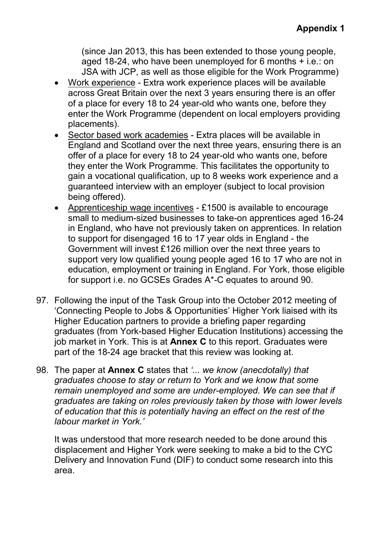(since Jan 2013, this has been extended to those young people, aged 18-24, who have been unemployed for 6 months + i.e.: on JSA with JCP, as well as those eligible for the Work Programme)

- Work experience Extra work experience places will be available across Great Britain over the next 3 years ensuring there is an offer of a place for every 18 to 24 year-old who wants one, before they enter the Work Programme (dependent on local employers providing placements).
- Sector based work academies Extra places will be available in England and Scotland over the next three years, ensuring there is an offer of a place for every 18 to 24 year-old who wants one, before they enter the Work Programme. This facilitates the opportunity to gain a vocational qualification, up to 8 weeks work experience and a guaranteed interview with an employer (subject to local provision being offered).
- Apprenticeship wage incentives £1500 is available to encourage small to medium-sized businesses to take-on apprentices aged 16-24 in England, who have not previously taken on apprentices. In relation to support for disengaged 16 to 17 year olds in England - the Government will invest £126 million over the next three years to support very low qualified young people aged 16 to 17 who are not in education, employment or training in England. For York, those eligible for support i.e. no GCSEs Grades A\*-C equates to around 90.
- 97. Following the input of the Task Group into the October 2012 meeting of 'Connecting People to Jobs & Opportunities' Higher York liaised with its Higher Education partners to provide a briefing paper regarding graduates (from York-based Higher Education Institutions) accessing the job market in York. This is at **Annex C** to this report. Graduates were part of the 18-24 age bracket that this review was looking at.
- 98. The paper at **Annex C** states that *'... we know (anecdotally) that graduates choose to stay or return to York and we know that some remain unemployed and some are under-employed. We can see that if graduates are taking on roles previously taken by those with lower levels of education that this is potentially having an effect on the rest of the labour market in York.'*

It was understood that more research needed to be done around this displacement and Higher York were seeking to make a bid to the CYC Delivery and Innovation Fund (DIF) to conduct some research into this area.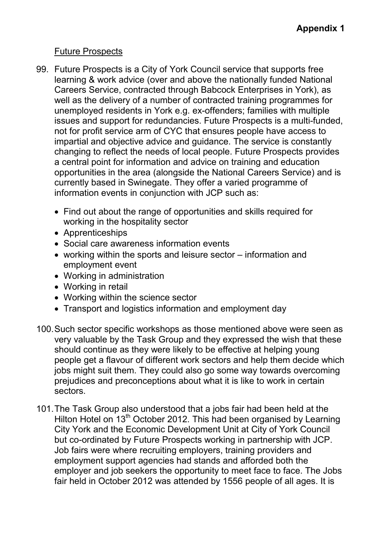## Future Prospects

- 99. Future Prospects is a City of York Council service that supports free learning & work advice (over and above the nationally funded National Careers Service, contracted through Babcock Enterprises in York), as well as the delivery of a number of contracted training programmes for unemployed residents in York e.g. ex-offenders; families with multiple issues and support for redundancies. Future Prospects is a multi-funded, not for profit service arm of CYC that ensures people have access to impartial and objective advice and guidance. The service is constantly changing to reflect the needs of local people. Future Prospects provides a central point for information and advice on training and education opportunities in the area (alongside the National Careers Service) and is currently based in Swinegate. They offer a varied programme of information events in conjunction with JCP such as:
	- Find out about the range of opportunities and skills required for working in the hospitality sector
	- Apprenticeships
	- Social care awareness information events
	- working within the sports and leisure sector information and employment event
	- Working in administration
	- Working in retail
	- Working within the science sector
	- Transport and logistics information and employment day
- 100. Such sector specific workshops as those mentioned above were seen as very valuable by the Task Group and they expressed the wish that these should continue as they were likely to be effective at helping young people get a flavour of different work sectors and help them decide which jobs might suit them. They could also go some way towards overcoming prejudices and preconceptions about what it is like to work in certain sectors.
- 101. The Task Group also understood that a jobs fair had been held at the Hilton Hotel on 13<sup>th</sup> October 2012. This had been organised by Learning City York and the Economic Development Unit at City of York Council but co-ordinated by Future Prospects working in partnership with JCP. Job fairs were where recruiting employers, training providers and employment support agencies had stands and afforded both the employer and job seekers the opportunity to meet face to face. The Jobs fair held in October 2012 was attended by 1556 people of all ages. It is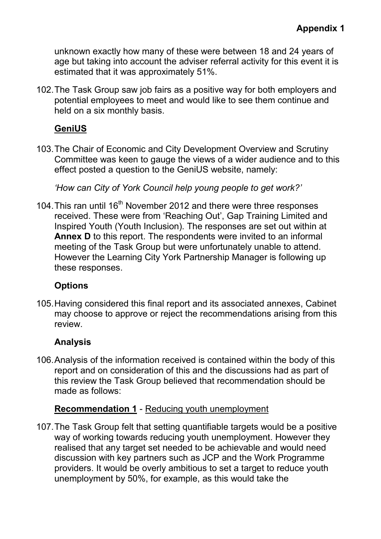unknown exactly how many of these were between 18 and 24 years of age but taking into account the adviser referral activity for this event it is estimated that it was approximately 51%.

102. The Task Group saw job fairs as a positive way for both employers and potential employees to meet and would like to see them continue and held on a six monthly basis.

# **GeniUS**

103. The Chair of Economic and City Development Overview and Scrutiny Committee was keen to gauge the views of a wider audience and to this effect posted a question to the GeniUS website, namely:

*'How can City of York Council help young people to get work?'* 

104. This ran until  $16<sup>th</sup>$  November 2012 and there were three responses received. These were from 'Reaching Out', Gap Training Limited and Inspired Youth (Youth Inclusion). The responses are set out within at **Annex D** to this report. The respondents were invited to an informal meeting of the Task Group but were unfortunately unable to attend. However the Learning City York Partnership Manager is following up these responses.

# **Options**

105. Having considered this final report and its associated annexes, Cabinet may choose to approve or reject the recommendations arising from this review.

# **Analysis**

106. Analysis of the information received is contained within the body of this report and on consideration of this and the discussions had as part of this review the Task Group believed that recommendation should be made as follows:

# **Recommendation 1** - Reducing youth unemployment

107. The Task Group felt that setting quantifiable targets would be a positive way of working towards reducing youth unemployment. However they realised that any target set needed to be achievable and would need discussion with key partners such as JCP and the Work Programme providers. It would be overly ambitious to set a target to reduce youth unemployment by 50%, for example, as this would take the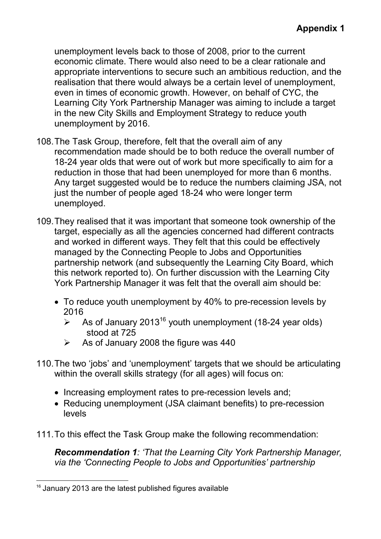unemployment levels back to those of 2008, prior to the current economic climate. There would also need to be a clear rationale and appropriate interventions to secure such an ambitious reduction, and the realisation that there would always be a certain level of unemployment, even in times of economic growth. However, on behalf of CYC, the Learning City York Partnership Manager was aiming to include a target in the new City Skills and Employment Strategy to reduce youth unemployment by 2016.

- 108. The Task Group, therefore, felt that the overall aim of any recommendation made should be to both reduce the overall number of 18-24 year olds that were out of work but more specifically to aim for a reduction in those that had been unemployed for more than 6 months. Any target suggested would be to reduce the numbers claiming JSA, not just the number of people aged 18-24 who were longer term unemployed.
- 109. They realised that it was important that someone took ownership of the target, especially as all the agencies concerned had different contracts and worked in different ways. They felt that this could be effectively managed by the Connecting People to Jobs and Opportunities partnership network (and subsequently the Learning City Board, which this network reported to). On further discussion with the Learning City York Partnership Manager it was felt that the overall aim should be:
	- To reduce youth unemployment by 40% to pre-recession levels by 2016
		- $\geq$  As of January 2013<sup>16</sup> youth unemployment (18-24 year olds) stood at 725
		- $\triangleright$  As of January 2008 the figure was 440
- 110. The two 'jobs' and 'unemployment' targets that we should be articulating within the overall skills strategy (for all ages) will focus on:
	- Increasing employment rates to pre-recession levels and;
	- Reducing unemployment (JSA claimant benefits) to pre-recession levels
- 111. To this effect the Task Group make the following recommendation:

*Recommendation 1: 'That the Learning City York Partnership Manager, via the 'Connecting People to Jobs and Opportunities' partnership* 

 $\overline{a}$ <sup>16</sup> January 2013 are the latest published figures available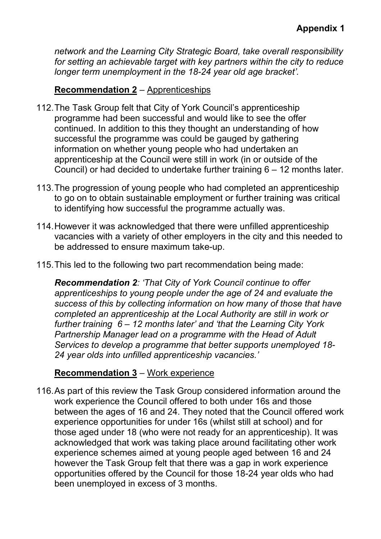*network and the Learning City Strategic Board, take overall responsibility for setting an achievable target with key partners within the city to reduce longer term unemployment in the 18-24 year old age bracket'.* 

## **Recommendation 2** – Apprenticeships

- 112. The Task Group felt that City of York Council's apprenticeship programme had been successful and would like to see the offer continued. In addition to this they thought an understanding of how successful the programme was could be gauged by gathering information on whether young people who had undertaken an apprenticeship at the Council were still in work (in or outside of the Council) or had decided to undertake further training 6 – 12 months later.
- 113. The progression of young people who had completed an apprenticeship to go on to obtain sustainable employment or further training was critical to identifying how successful the programme actually was.
- 114. However it was acknowledged that there were unfilled apprenticeship vacancies with a variety of other employers in the city and this needed to be addressed to ensure maximum take-up.
- 115. This led to the following two part recommendation being made:

*Recommendation 2: 'That City of York Council continue to offer apprenticeships to young people under the age of 24 and evaluate the success of this by collecting information on how many of those that have completed an apprenticeship at the Local Authority are still in work or further training 6 – 12 months later' and 'that the Learning City York Partnership Manager lead on a programme with the Head of Adult Services to develop a programme that better supports unemployed 18- 24 year olds into unfilled apprenticeship vacancies.'* 

## **Recommendation 3** – Work experience

116. As part of this review the Task Group considered information around the work experience the Council offered to both under 16s and those between the ages of 16 and 24. They noted that the Council offered work experience opportunities for under 16s (whilst still at school) and for those aged under 18 (who were not ready for an apprenticeship). It was acknowledged that work was taking place around facilitating other work experience schemes aimed at young people aged between 16 and 24 however the Task Group felt that there was a gap in work experience opportunities offered by the Council for those 18-24 year olds who had been unemployed in excess of 3 months.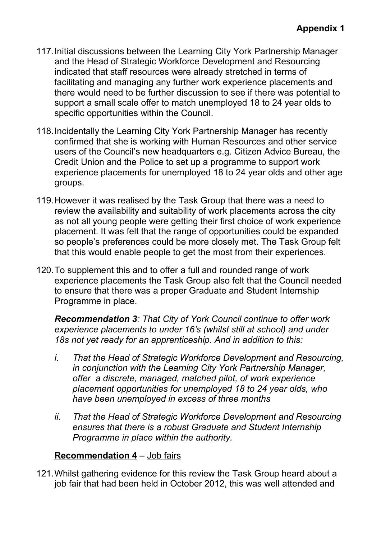- 117. Initial discussions between the Learning City York Partnership Manager and the Head of Strategic Workforce Development and Resourcing indicated that staff resources were already stretched in terms of facilitating and managing any further work experience placements and there would need to be further discussion to see if there was potential to support a small scale offer to match unemployed 18 to 24 year olds to specific opportunities within the Council.
- 118. Incidentally the Learning City York Partnership Manager has recently confirmed that she is working with Human Resources and other service users of the Council's new headquarters e.g. Citizen Advice Bureau, the Credit Union and the Police to set up a programme to support work experience placements for unemployed 18 to 24 year olds and other age groups.
- 119. However it was realised by the Task Group that there was a need to review the availability and suitability of work placements across the city as not all young people were getting their first choice of work experience placement. It was felt that the range of opportunities could be expanded so people's preferences could be more closely met. The Task Group felt that this would enable people to get the most from their experiences.
- 120. To supplement this and to offer a full and rounded range of work experience placements the Task Group also felt that the Council needed to ensure that there was a proper Graduate and Student Internship Programme in place.

*Recommendation 3: That City of York Council continue to offer work experience placements to under 16's (whilst still at school) and under 18s not yet ready for an apprenticeship. And in addition to this:* 

- *i. That the Head of Strategic Workforce Development and Resourcing, in conjunction with the Learning City York Partnership Manager, offer a discrete, managed, matched pilot, of work experience placement opportunities for unemployed 18 to 24 year olds, who have been unemployed in excess of three months*
- *ii. That the Head of Strategic Workforce Development and Resourcing ensures that there is a robust Graduate and Student Internship Programme in place within the authority.*

## **Recommendation 4** – Job fairs

121. Whilst gathering evidence for this review the Task Group heard about a job fair that had been held in October 2012, this was well attended and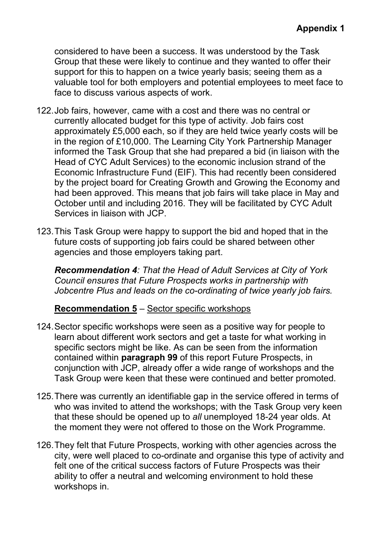considered to have been a success. It was understood by the Task Group that these were likely to continue and they wanted to offer their support for this to happen on a twice yearly basis; seeing them as a valuable tool for both employers and potential employees to meet face to face to discuss various aspects of work.

- 122. Job fairs, however, came with a cost and there was no central or currently allocated budget for this type of activity. Job fairs cost approximately £5,000 each, so if they are held twice yearly costs will be in the region of £10,000. The Learning City York Partnership Manager informed the Task Group that she had prepared a bid (in liaison with the Head of CYC Adult Services) to the economic inclusion strand of the Economic Infrastructure Fund (EIF). This had recently been considered by the project board for Creating Growth and Growing the Economy and had been approved. This means that job fairs will take place in May and October until and including 2016. They will be facilitated by CYC Adult Services in liaison with JCP.
- 123. This Task Group were happy to support the bid and hoped that in the future costs of supporting job fairs could be shared between other agencies and those employers taking part.

*Recommendation 4: That the Head of Adult Services at City of York Council ensures that Future Prospects works in partnership with Jobcentre Plus and leads on the co-ordinating of twice yearly job fairs.* 

## **Recommendation 5** – Sector specific workshops

- 124. Sector specific workshops were seen as a positive way for people to learn about different work sectors and get a taste for what working in specific sectors might be like. As can be seen from the information contained within **paragraph 99** of this report Future Prospects, in conjunction with JCP, already offer a wide range of workshops and the Task Group were keen that these were continued and better promoted.
- 125. There was currently an identifiable gap in the service offered in terms of who was invited to attend the workshops; with the Task Group very keen that these should be opened up to *all* unemployed 18-24 year olds. At the moment they were not offered to those on the Work Programme.
- 126. They felt that Future Prospects, working with other agencies across the city, were well placed to co-ordinate and organise this type of activity and felt one of the critical success factors of Future Prospects was their ability to offer a neutral and welcoming environment to hold these workshops in.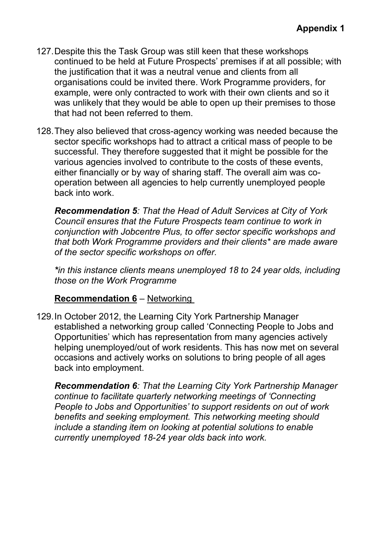- 127. Despite this the Task Group was still keen that these workshops continued to be held at Future Prospects' premises if at all possible; with the justification that it was a neutral venue and clients from all organisations could be invited there. Work Programme providers, for example, were only contracted to work with their own clients and so it was unlikely that they would be able to open up their premises to those that had not been referred to them.
- 128. They also believed that cross-agency working was needed because the sector specific workshops had to attract a critical mass of people to be successful. They therefore suggested that it might be possible for the various agencies involved to contribute to the costs of these events, either financially or by way of sharing staff. The overall aim was cooperation between all agencies to help currently unemployed people back into work.

*Recommendation 5: That the Head of Adult Services at City of York Council ensures that the Future Prospects team continue to work in conjunction with Jobcentre Plus, to offer sector specific workshops and that both Work Programme providers and their clients\* are made aware of the sector specific workshops on offer.* 

*\*in this instance clients means unemployed 18 to 24 year olds, including those on the Work Programme* 

#### **Recommendation 6** – Networking

129. In October 2012, the Learning City York Partnership Manager established a networking group called 'Connecting People to Jobs and Opportunities' which has representation from many agencies actively helping unemployed/out of work residents. This has now met on several occasions and actively works on solutions to bring people of all ages back into employment.

*Recommendation 6: That the Learning City York Partnership Manager continue to facilitate quarterly networking meetings of 'Connecting People to Jobs and Opportunities' to support residents on out of work benefits and seeking employment. This networking meeting should include a standing item on looking at potential solutions to enable currently unemployed 18-24 year olds back into work.*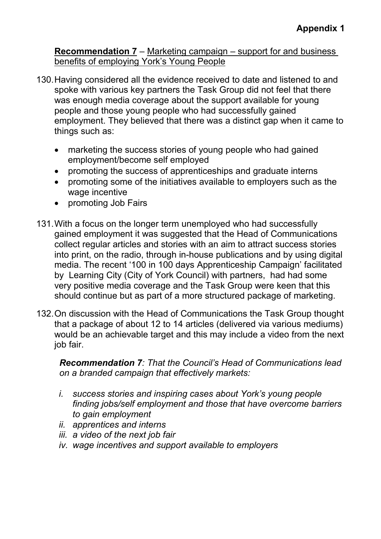**Recommendation 7** – Marketing campaign – support for and business benefits of employing York's Young People

- 130. Having considered all the evidence received to date and listened to and spoke with various key partners the Task Group did not feel that there was enough media coverage about the support available for young people and those young people who had successfully gained employment. They believed that there was a distinct gap when it came to things such as:
	- marketing the success stories of young people who had gained employment/become self employed
	- promoting the success of apprenticeships and graduate interns
	- promoting some of the initiatives available to employers such as the wage incentive
	- promoting Job Fairs
- 131. With a focus on the longer term unemployed who had successfully gained employment it was suggested that the Head of Communications collect regular articles and stories with an aim to attract success stories into print, on the radio, through in-house publications and by using digital media. The recent '100 in 100 days Apprenticeship Campaign' facilitated by Learning City (City of York Council) with partners, had had some very positive media coverage and the Task Group were keen that this should continue but as part of a more structured package of marketing.
- 132. On discussion with the Head of Communications the Task Group thought that a package of about 12 to 14 articles (delivered via various mediums) would be an achievable target and this may include a video from the next job fair.

 *Recommendation 7: That the Council's Head of Communications lead on a branded campaign that effectively markets:* 

- *i. success stories and inspiring cases about York's young people finding jobs/self employment and those that have overcome barriers to gain employment*
- *ii. apprentices and interns*
- *iii. a video of the next job fair*
- *iv. wage incentives and support available to employers*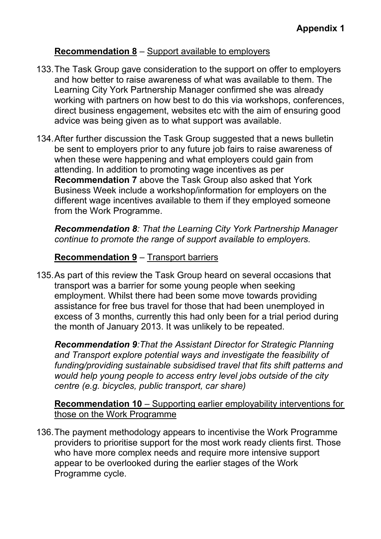## **Recommendation 8** – Support available to employers

- 133. The Task Group gave consideration to the support on offer to employers and how better to raise awareness of what was available to them. The Learning City York Partnership Manager confirmed she was already working with partners on how best to do this via workshops, conferences, direct business engagement, websites etc with the aim of ensuring good advice was being given as to what support was available.
- 134. After further discussion the Task Group suggested that a news bulletin be sent to employers prior to any future job fairs to raise awareness of when these were happening and what employers could gain from attending. In addition to promoting wage incentives as per **Recommendation 7** above the Task Group also asked that York Business Week include a workshop/information for employers on the different wage incentives available to them if they employed someone from the Work Programme.

*Recommendation 8: That the Learning City York Partnership Manager continue to promote the range of support available to employers.* 

## **Recommendation 9** – Transport barriers

135. As part of this review the Task Group heard on several occasions that transport was a barrier for some young people when seeking employment. Whilst there had been some move towards providing assistance for free bus travel for those that had been unemployed in excess of 3 months, currently this had only been for a trial period during the month of January 2013. It was unlikely to be repeated.

*Recommendation 9:That the Assistant Director for Strategic Planning and Transport explore potential ways and investigate the feasibility of funding/providing sustainable subsidised travel that fits shift patterns and would help young people to access entry level jobs outside of the city centre (e.g. bicycles, public transport, car share)*

**Recommendation 10** – Supporting earlier employability interventions for those on the Work Programme

136. The payment methodology appears to incentivise the Work Programme providers to prioritise support for the most work ready clients first. Those who have more complex needs and require more intensive support appear to be overlooked during the earlier stages of the Work Programme cycle.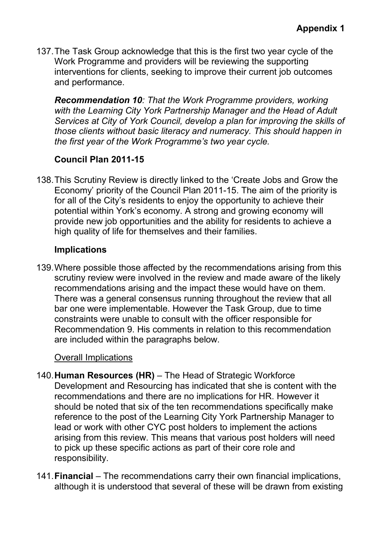137. The Task Group acknowledge that this is the first two year cycle of the Work Programme and providers will be reviewing the supporting interventions for clients, seeking to improve their current job outcomes and performance.

*Recommendation 10: That the Work Programme providers, working with the Learning City York Partnership Manager and the Head of Adult Services at City of York Council, develop a plan for improving the skills of those clients without basic literacy and numeracy. This should happen in the first year of the Work Programme's two year cycle.* 

## **Council Plan 2011-15**

138. This Scrutiny Review is directly linked to the 'Create Jobs and Grow the Economy' priority of the Council Plan 2011-15. The aim of the priority is for all of the City's residents to enjoy the opportunity to achieve their potential within York's economy. A strong and growing economy will provide new job opportunities and the ability for residents to achieve a high quality of life for themselves and their families.

## **Implications**

139. Where possible those affected by the recommendations arising from this scrutiny review were involved in the review and made aware of the likely recommendations arising and the impact these would have on them. There was a general consensus running throughout the review that all bar one were implementable. However the Task Group, due to time constraints were unable to consult with the officer responsible for Recommendation 9. His comments in relation to this recommendation are included within the paragraphs below.

## Overall Implications

- 140. **Human Resources (HR)** The Head of Strategic Workforce Development and Resourcing has indicated that she is content with the recommendations and there are no implications for HR. However it should be noted that six of the ten recommendations specifically make reference to the post of the Learning City York Partnership Manager to lead or work with other CYC post holders to implement the actions arising from this review. This means that various post holders will need to pick up these specific actions as part of their core role and responsibility.
- 141. **Financial** The recommendations carry their own financial implications, although it is understood that several of these will be drawn from existing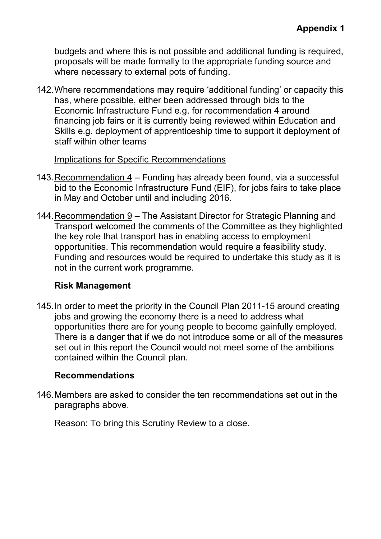budgets and where this is not possible and additional funding is required, proposals will be made formally to the appropriate funding source and where necessary to external pots of funding.

142. Where recommendations may require 'additional funding' or capacity this has, where possible, either been addressed through bids to the Economic Infrastructure Fund e.g. for recommendation 4 around financing job fairs or it is currently being reviewed within Education and Skills e.g. deployment of apprenticeship time to support it deployment of staff within other teams

#### Implications for Specific Recommendations

- 143. Recommendation 4 Funding has already been found, via a successful bid to the Economic Infrastructure Fund (EIF), for jobs fairs to take place in May and October until and including 2016.
- 144. Recommendation 9 The Assistant Director for Strategic Planning and Transport welcomed the comments of the Committee as they highlighted the key role that transport has in enabling access to employment opportunities. This recommendation would require a feasibility study. Funding and resources would be required to undertake this study as it is not in the current work programme.

## **Risk Management**

145. In order to meet the priority in the Council Plan 2011-15 around creating jobs and growing the economy there is a need to address what opportunities there are for young people to become gainfully employed. There is a danger that if we do not introduce some or all of the measures set out in this report the Council would not meet some of the ambitions contained within the Council plan.

## **Recommendations**

146. Members are asked to consider the ten recommendations set out in the paragraphs above.

Reason: To bring this Scrutiny Review to a close.